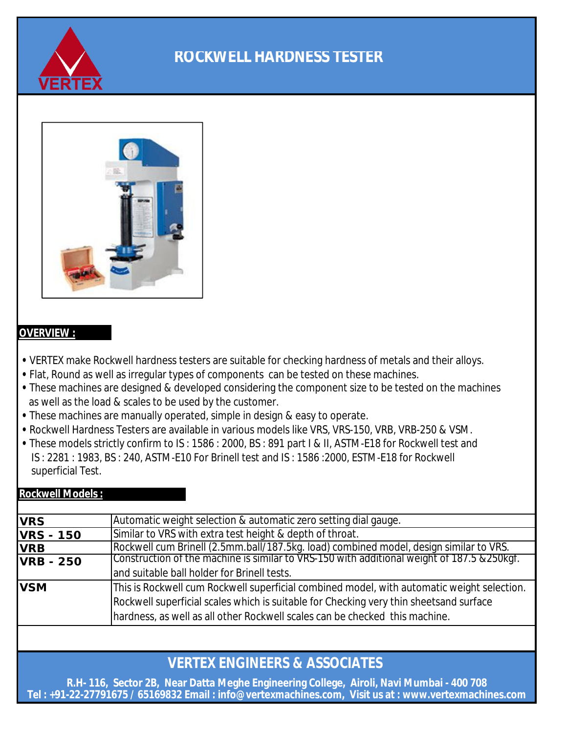



#### **OVERVIEW :**

- VERTEX make Rockwell hardness testers are suitable for checking hardness of metals and their alloys.
- **•** Flat, Round as well as irregular types of components can be tested on these machines.
- as well as the load & scales to be used by the customer.  **•** These machines are designed & developed considering the component size to be tested on the machines
- These machines are manually operated, simple in design & easy to operate.
- Rockwell Hardness Testers are available in various models like VRS, VRS-150, VRB, VRB-250 & VSM.
- These models strictly confirm to IS : 1586 : 2000, BS : 891 part I & II, ASTM-E18 for Rockwell test and IS : 2281 : 1983, BS : 240, ASTM-E10 For Brinell test and IS : 1586 :2000, ESTM-E18 for Rockwell superficial Test.

#### **Rockwell Models :**

| <b>VRS</b>       | Automatic weight selection & automatic zero setting dial gauge.                             |  |  |  |
|------------------|---------------------------------------------------------------------------------------------|--|--|--|
| <b>VRS - 150</b> | Similar to VRS with extra test height & depth of throat.                                    |  |  |  |
| <b>VRB</b>       | Rockwell cum Brinell (2.5mm.ball/187.5kg. load) combined model, design similar to VRS.      |  |  |  |
| <b>VRB - 250</b> | Construction of the machine is similar to VRS-150 with additional weight of 187.5 & 250kgf. |  |  |  |
|                  | and suitable ball holder for Brinell tests.                                                 |  |  |  |
| <b>VSM</b>       | This is Rockwell cum Rockwell superficial combined model, with automatic weight selection.  |  |  |  |
|                  | Rockwell superficial scales which is suitable for Checking very thin sheetsand surface      |  |  |  |
|                  | hardness, as well as all other Rockwell scales can be checked this machine.                 |  |  |  |
|                  |                                                                                             |  |  |  |

## **VERTEX ENGINEERS & ASSOCIATES**

**Tel : +91-22-27791675 / 65169832 Email : info@vertexmachines.com, Visit us at : www.vertexmachines.com R.H- 116, Sector 2B, Near Datta Meghe Engineering College, Airoli, Navi Mumbai - 400 708**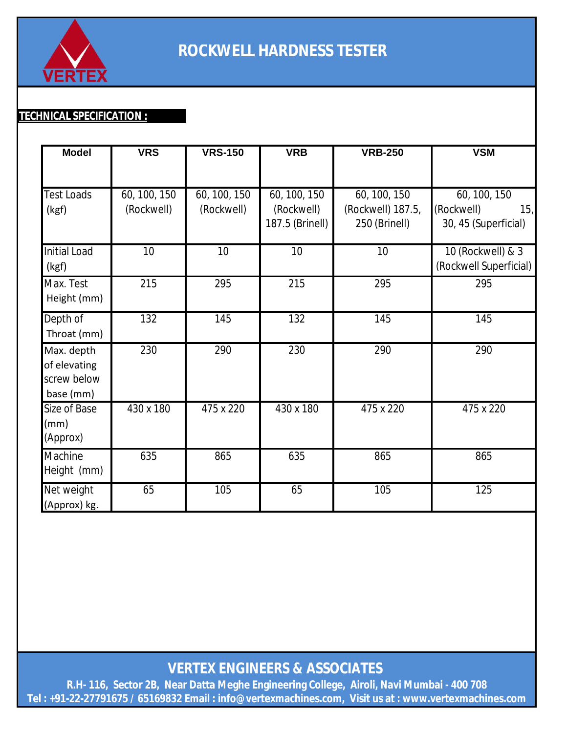

### **TECHNICAL SPECIFICATION :**

| <b>Model</b>                                           | <b>VRS</b>                 | <b>VRS-150</b>             | <b>VRB</b>                                    | <b>VRB-250</b>                                     | <b>VSM</b>                                                |
|--------------------------------------------------------|----------------------------|----------------------------|-----------------------------------------------|----------------------------------------------------|-----------------------------------------------------------|
|                                                        |                            |                            |                                               |                                                    |                                                           |
| <b>Test Loads</b><br>(kgf)                             | 60, 100, 150<br>(Rockwell) | 60, 100, 150<br>(Rockwell) | 60, 100, 150<br>(Rockwell)<br>187.5 (Brinell) | 60, 100, 150<br>(Rockwell) 187.5,<br>250 (Brinell) | 60, 100, 150<br>(Rockwell)<br>15,<br>30, 45 (Superficial) |
| <b>Initial Load</b><br>(kgf)                           | 10                         | 10                         | 10                                            | 10                                                 | 10 (Rockwell) & 3<br>(Rockwell Superficial)               |
| Max. Test<br>Height (mm)                               | 215                        | 295                        | 215                                           | 295                                                | 295                                                       |
| Depth of<br>Throat (mm)                                | 132                        | 145                        | 132                                           | 145                                                | 145                                                       |
| Max. depth<br>of elevating<br>screw below<br>base (mm) | 230                        | 290                        | 230                                           | 290                                                | 290                                                       |
| Size of Base<br>(mm)<br>(Approx)                       | 430 x 180                  | 475 x 220                  | 430 x 180                                     | 475 x 220                                          | 475 x 220                                                 |
| Machine<br>Height (mm)                                 | 635                        | 865                        | 635                                           | 865                                                | 865                                                       |
| Net weight<br>(Approx) kg.                             | 65                         | 105                        | 65                                            | 105                                                | 125                                                       |

**VERTEX ENGINEERS & ASSOCIATES** 

**Tel : +91-22-27791675 / 65169832 Email : info@vertexmachines.com, Visit us at : www.vertexmachines.com R.H- 116, Sector 2B, Near Datta Meghe Engineering College, Airoli, Navi Mumbai - 400 708**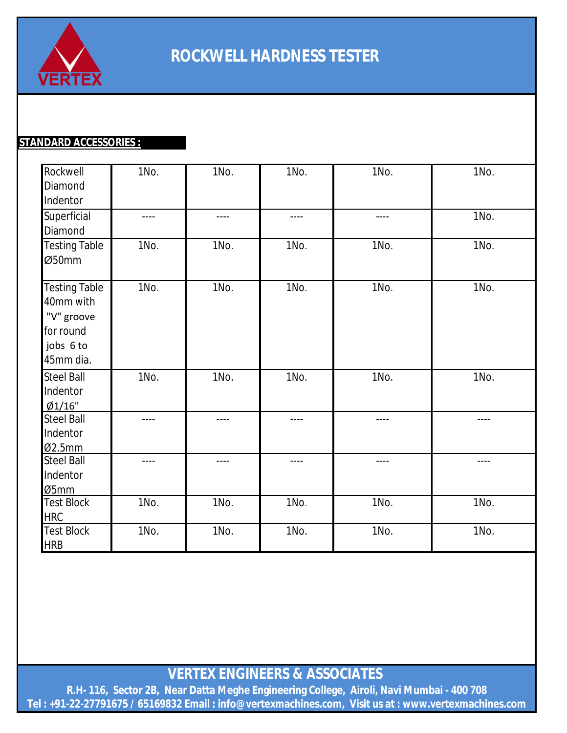

### **STANDARD ACCESSORIES :**

| Rockwell<br>Diamond<br>Indentor                                                        | 1No.      | 1No.      | 1No.          | 1No.  | 1No.  |
|----------------------------------------------------------------------------------------|-----------|-----------|---------------|-------|-------|
| Superficial<br>Diamond                                                                 | $- - - -$ | $- - - -$ | $\frac{1}{2}$ | $---$ | 1No.  |
| <b>Testing Table</b><br>Ø50mm                                                          | 1No.      | 1No.      | 1No.          | 1No.  | 1No.  |
| <b>Testing Table</b><br>40mm with<br>"V" groove<br>for round<br>jobs 6 to<br>45mm dia. | 1No.      | 1No.      | 1No.          | 1No.  | 1No.  |
| <b>Steel Ball</b><br>Indentor<br>Ø1/16"                                                | 1No.      | 1No.      | 1No.          | 1No.  | 1No.  |
| <b>Steel Ball</b><br>Indentor<br>02.5mm                                                | $---$     | $- - - -$ | $- - - -$     | ----  | $---$ |
| <b>Steel Ball</b><br>Indentor<br>Ø5mm                                                  | $- - - -$ | $---$     | $- - - -$     | ----  | ----  |
| <b>Test Block</b><br><b>HRC</b>                                                        | 1No.      | 1No.      | 1No.          | 1No.  | 1No.  |
| <b>Test Block</b><br><b>HRB</b>                                                        | 1No.      | 1No.      | 1No.          | 1No.  | 1No.  |

**VERTEX ENGINEERS & ASSOCIATES** 

**R.H- 116, Sector 2B, Near Datta Meghe Engineering College, Airoli, Navi Mumbai - 400 708 Tel : +91-22-27791675 / 65169832 Email : info@vertexmachines.com, Visit us at : www.vertexmachines.com**